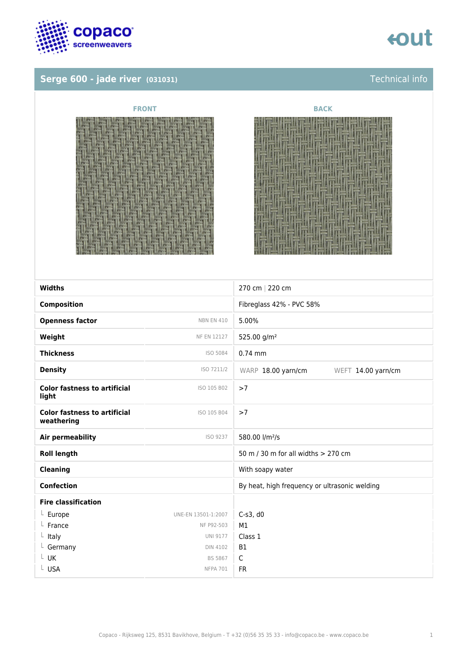

# **Serge 600 - jade river** (031031) **Serge 600 - jade river (031031)**







| <b>Widths</b>                                     |                     | 270 cm   220 cm                               |
|---------------------------------------------------|---------------------|-----------------------------------------------|
| <b>Composition</b>                                |                     | Fibreglass 42% - PVC 58%                      |
| <b>Openness factor</b>                            | <b>NBN EN 410</b>   | 5.00%                                         |
| Weight                                            | <b>NF EN 12127</b>  | 525.00 g/m <sup>2</sup>                       |
| <b>Thickness</b>                                  | ISO 5084            | $0.74$ mm                                     |
| <b>Density</b>                                    | ISO 7211/2          | WARP 18.00 yarn/cm<br>WEFT 14.00 yarn/cm      |
| <b>Color fastness to artificial</b><br>light      | ISO 105 B02         | >7                                            |
| <b>Color fastness to artificial</b><br>weathering | ISO 105 B04         | >7                                            |
| Air permeability                                  | ISO 9237            | 580.00 l/m <sup>2</sup> /s                    |
| <b>Roll length</b>                                |                     | 50 m / 30 m for all widths > 270 cm           |
| <b>Cleaning</b>                                   |                     | With soapy water                              |
| <b>Confection</b>                                 |                     | By heat, high frequency or ultrasonic welding |
| <b>Fire classification</b>                        |                     |                                               |
| $L$ Europe                                        | UNE-EN 13501-1:2007 | $C-s3$ , d $0$                                |
| $L$ France                                        | NF P92-503          | M1                                            |
| $L$ Italy                                         | <b>UNI 9177</b>     | Class 1                                       |
| $L$ Germany                                       | <b>DIN 4102</b>     | <b>B1</b>                                     |
| L UK                                              | BS 5867             | $\mathsf C$                                   |
| L USA                                             | <b>NFPA 701</b>     | <b>FR</b>                                     |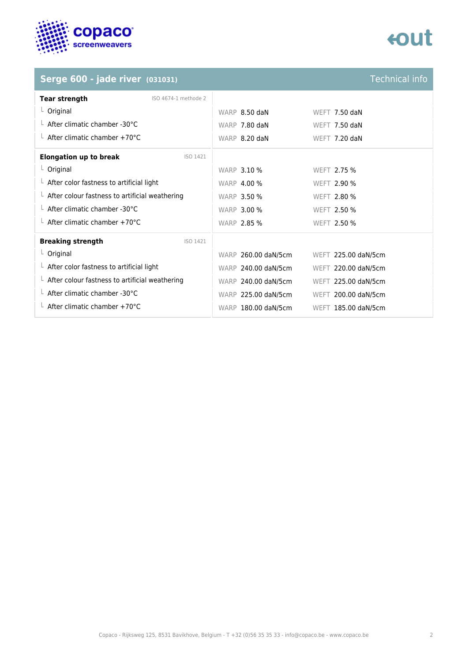

# tout

### **Serge 600 - jade river** (031031) **Serge 600 - jade river (031031) Technical info**

| <b>Tear strength</b>                                   | ISO 4674-1 methode 2 |                     |                     |
|--------------------------------------------------------|----------------------|---------------------|---------------------|
| $L$ Original                                           |                      | WARP 8.50 daN       | WEFT 7.50 daN       |
| $\perp$ After climatic chamber -30°C                   |                      | WARP 7.80 daN       | WEFT 7.50 daN       |
| $\perp$ After climatic chamber +70°C                   |                      | WARP 8.20 daN       | WEFT 7.20 daN       |
| <b>Elongation up to break</b>                          | ISO 1421             |                     |                     |
| $L$ Original                                           |                      | <b>WARP 3.10 %</b>  | WEFT 2.75 %         |
| $\perp$ After color fastness to artificial light       |                      | <b>WARP 4.00 %</b>  | <b>WEFT 2.90 %</b>  |
| $\perp$ After colour fastness to artificial weathering |                      | <b>WARP 3.50 %</b>  | <b>WEFT 2.80 %</b>  |
| $\perp$ After climatic chamber -30°C                   |                      | <b>WARP 3.00 %</b>  | WEFT 2.50 %         |
| $\perp$ After climatic chamber +70°C                   |                      | <b>WARP 2.85 %</b>  | WEFT 2.50 %         |
| <b>Breaking strength</b>                               | ISO 1421             |                     |                     |
| $L$ Original                                           |                      | WARP 260.00 daN/5cm | WEFT 225.00 daN/5cm |
| $\perp$ After color fastness to artificial light       |                      | WARP 240.00 daN/5cm | WEFT 220.00 daN/5cm |
| $\perp$ After colour fastness to artificial weathering |                      | WARP 240.00 daN/5cm | WEFT 225.00 daN/5cm |
| $\perp$ After climatic chamber -30°C                   |                      | WARP 225.00 daN/5cm | WEFT 200.00 daN/5cm |
| $\perp$ After climatic chamber +70°C                   |                      | WARP 180.00 daN/5cm | WEFT 185.00 daN/5cm |
|                                                        |                      |                     |                     |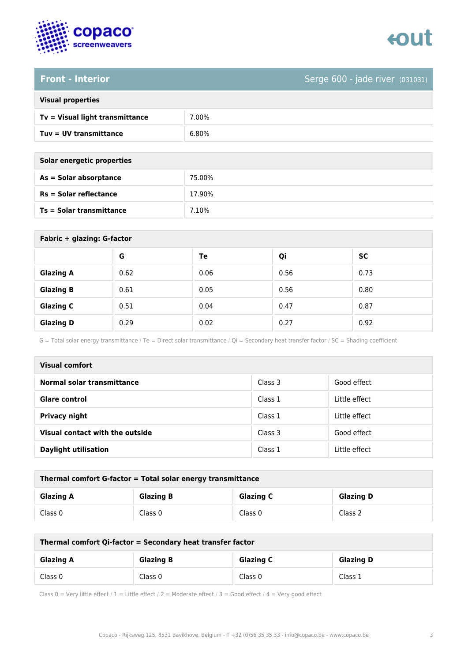

# **Front - Interior** Serge 600 - jade river (031031)

| <b>Visual properties</b> |  |
|--------------------------|--|
|                          |  |

| Tv = Visual light transmittance | 7.00% |
|---------------------------------|-------|
| Tuv = UV transmittance          | 6.80% |

| Solar energetic properties |        |  |
|----------------------------|--------|--|
| As = Solar absorptance     | 75.00% |  |
| $Rs = Solar$ reflectance   | 17.90% |  |
| Ts = Solar transmittance   | 7.10%  |  |
|                            |        |  |

| Fabric + glazing: G-factor |      |      |      |           |  |
|----------------------------|------|------|------|-----------|--|
|                            | G    | Te   | Qi   | <b>SC</b> |  |
| <b>Glazing A</b>           | 0.62 | 0.06 | 0.56 | 0.73      |  |
| <b>Glazing B</b>           | 0.61 | 0.05 | 0.56 | 0.80      |  |
| <b>Glazing C</b>           | 0.51 | 0.04 | 0.47 | 0.87      |  |
| <b>Glazing D</b>           | 0.29 | 0.02 | 0.27 | 0.92      |  |

G = Total solar energy transmittance / Te = Direct solar transmittance / Qi = Secondary heat transfer factor / SC = Shading coefficient

| <b>Visual comfort</b>           |         |               |
|---------------------------------|---------|---------------|
| Normal solar transmittance      | Class 3 | Good effect   |
| <b>Glare control</b>            | Class 1 | Little effect |
| <b>Privacy night</b>            | Class 1 | Little effect |
| Visual contact with the outside | Class 3 | Good effect   |
| <b>Daylight utilisation</b>     | Class 1 | Little effect |

| Thermal comfort G-factor = Total solar energy transmittance                  |         |         |         |  |
|------------------------------------------------------------------------------|---------|---------|---------|--|
| <b>Glazing C</b><br><b>Glazing B</b><br><b>Glazing D</b><br><b>Glazing A</b> |         |         |         |  |
| Class 0                                                                      | Class 0 | Class 0 | Class 2 |  |

| Thermal comfort Qi-factor = Secondary heat transfer factor                   |         |         |         |  |
|------------------------------------------------------------------------------|---------|---------|---------|--|
| <b>Glazing B</b><br><b>Glazing C</b><br><b>Glazing D</b><br><b>Glazing A</b> |         |         |         |  |
| Class 0                                                                      | Class 0 | Class 0 | Class 1 |  |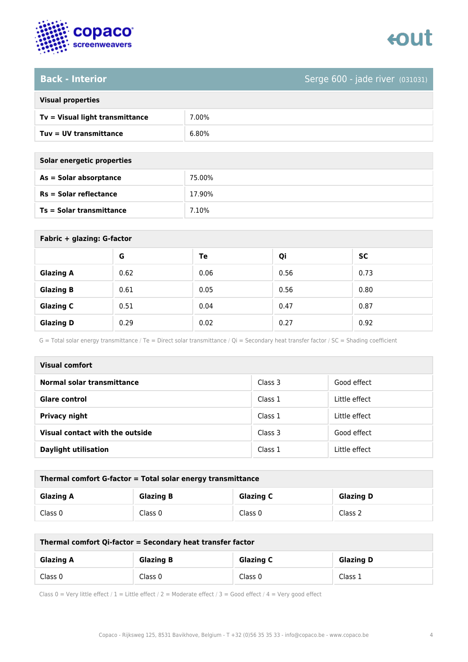

# Back - Interior **Back - Interior** Serge 600 - jade river (031031)

|  | <b>Visual properties</b> |
|--|--------------------------|

| $Tv = Visual light transmittance$ | 7.00% |
|-----------------------------------|-------|
| Tuy = UV transmittance            | 6.80% |

| Solar energetic properties |         |  |  |
|----------------------------|---------|--|--|
| As = Solar absorptance     | 75.00%  |  |  |
| $Rs = Solar$ reflectance   | 17.90%  |  |  |
| Ts = Solar transmittance   | 7 1 0 % |  |  |

| Fabric + glazing: G-factor |      |      |      |           |
|----------------------------|------|------|------|-----------|
|                            | G    | Te   | Qi   | <b>SC</b> |
| <b>Glazing A</b>           | 0.62 | 0.06 | 0.56 | 0.73      |
| <b>Glazing B</b>           | 0.61 | 0.05 | 0.56 | 0.80      |
| <b>Glazing C</b>           | 0.51 | 0.04 | 0.47 | 0.87      |
| <b>Glazing D</b>           | 0.29 | 0.02 | 0.27 | 0.92      |

G = Total solar energy transmittance / Te = Direct solar transmittance / Qi = Secondary heat transfer factor / SC = Shading coefficient

| <b>Visual comfort</b>           |         |               |
|---------------------------------|---------|---------------|
| Normal solar transmittance      | Class 3 | Good effect   |
| <b>Glare control</b>            | Class 1 | Little effect |
| Privacy night                   | Class 1 | Little effect |
| Visual contact with the outside | Class 3 | Good effect   |
| <b>Daylight utilisation</b>     | Class 1 | Little effect |

| Thermal comfort G-factor = Total solar energy transmittance |                  |                  |                  |
|-------------------------------------------------------------|------------------|------------------|------------------|
| <b>Glazing A</b>                                            | <b>Glazing B</b> | <b>Glazing C</b> | <b>Glazing D</b> |
| Class 0                                                     | Class 0          | Class 0          | Class 2          |

| Thermal comfort Qi-factor = Secondary heat transfer factor |                  |                  |                  |
|------------------------------------------------------------|------------------|------------------|------------------|
| <b>Glazing A</b>                                           | <b>Glazing B</b> | <b>Glazing C</b> | <b>Glazing D</b> |
| Class 0                                                    | Class 0          | Class 0          | Class 1          |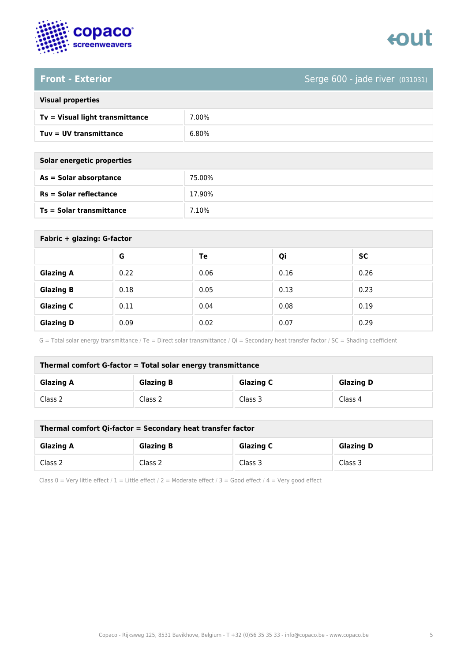

### **Front - Exterior** Serge 600 - jade river (031031)

| <b>Visual properties</b> |
|--------------------------|
|                          |

| $Tv = Visual light transmittance$ | 7.00% |
|-----------------------------------|-------|
| Tuv = UV transmittance            | 6.80% |

| Solar energetic properties      |        |
|---------------------------------|--------|
| As = Solar absorptance          | 75.00% |
| $Rs = Solar$ reflectance        | 17.90% |
| <b>Ts = Solar transmittance</b> | 7.10%  |

| Fabric + glazing: G-factor |      |      |      |           |
|----------------------------|------|------|------|-----------|
|                            | G    | Te   | Qi   | <b>SC</b> |
| <b>Glazing A</b>           | 0.22 | 0.06 | 0.16 | 0.26      |
| <b>Glazing B</b>           | 0.18 | 0.05 | 0.13 | 0.23      |
| <b>Glazing C</b>           | 0.11 | 0.04 | 0.08 | 0.19      |
| <b>Glazing D</b>           | 0.09 | 0.02 | 0.07 | 0.29      |

G = Total solar energy transmittance / Te = Direct solar transmittance / Qi = Secondary heat transfer factor / SC = Shading coefficient

| Thermal comfort G-factor = Total solar energy transmittance |                  |                  |                  |
|-------------------------------------------------------------|------------------|------------------|------------------|
| <b>Glazing A</b>                                            | <b>Glazing B</b> | <b>Glazing C</b> | <b>Glazing D</b> |
| Class 2                                                     | Class 2          | Class 3          | Class 4          |

| Thermal comfort Qi-factor = Secondary heat transfer factor |                  |                  |                  |
|------------------------------------------------------------|------------------|------------------|------------------|
| <b>Glazing A</b>                                           | <b>Glazing B</b> | <b>Glazing C</b> | <b>Glazing D</b> |
| Class 2                                                    | Class 2          | Class 3          | Class 3          |